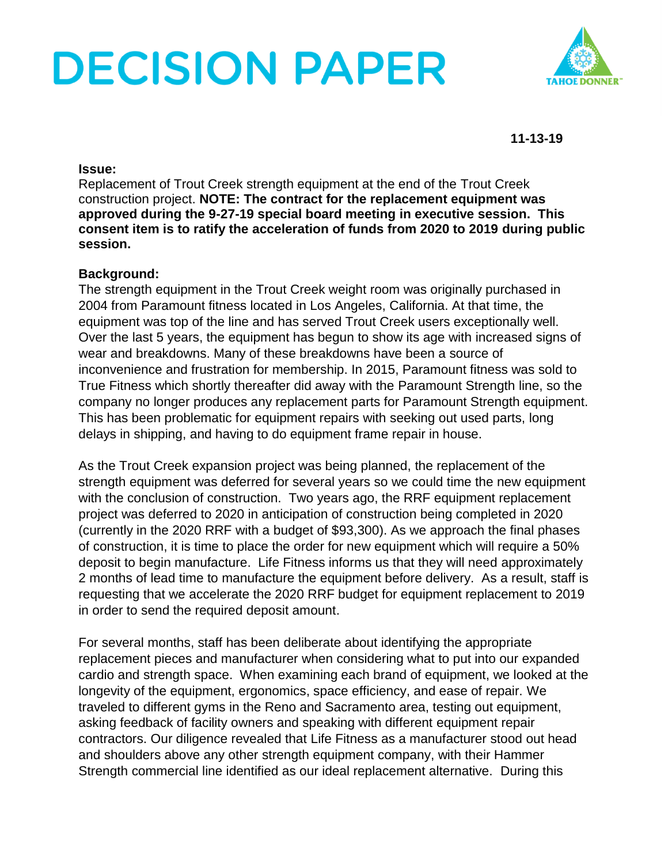# **DECISION PAPER**



**11-13-19**

#### **Issue:**

Replacement of Trout Creek strength equipment at the end of the Trout Creek construction project. **NOTE: The contract for the replacement equipment was approved during the 9-27-19 special board meeting in executive session. This consent item is to ratify the acceleration of funds from 2020 to 2019 during public session.**

## **Background:**

The strength equipment in the Trout Creek weight room was originally purchased in 2004 from Paramount fitness located in Los Angeles, California. At that time, the equipment was top of the line and has served Trout Creek users exceptionally well. Over the last 5 years, the equipment has begun to show its age with increased signs of wear and breakdowns. Many of these breakdowns have been a source of inconvenience and frustration for membership. In 2015, Paramount fitness was sold to True Fitness which shortly thereafter did away with the Paramount Strength line, so the company no longer produces any replacement parts for Paramount Strength equipment. This has been problematic for equipment repairs with seeking out used parts, long delays in shipping, and having to do equipment frame repair in house.

As the Trout Creek expansion project was being planned, the replacement of the strength equipment was deferred for several years so we could time the new equipment with the conclusion of construction. Two years ago, the RRF equipment replacement project was deferred to 2020 in anticipation of construction being completed in 2020 (currently in the 2020 RRF with a budget of \$93,300). As we approach the final phases of construction, it is time to place the order for new equipment which will require a 50% deposit to begin manufacture. Life Fitness informs us that they will need approximately 2 months of lead time to manufacture the equipment before delivery. As a result, staff is requesting that we accelerate the 2020 RRF budget for equipment replacement to 2019 in order to send the required deposit amount.

For several months, staff has been deliberate about identifying the appropriate replacement pieces and manufacturer when considering what to put into our expanded cardio and strength space. When examining each brand of equipment, we looked at the longevity of the equipment, ergonomics, space efficiency, and ease of repair. We traveled to different gyms in the Reno and Sacramento area, testing out equipment, asking feedback of facility owners and speaking with different equipment repair contractors. Our diligence revealed that Life Fitness as a manufacturer stood out head and shoulders above any other strength equipment company, with their Hammer Strength commercial line identified as our ideal replacement alternative. During this